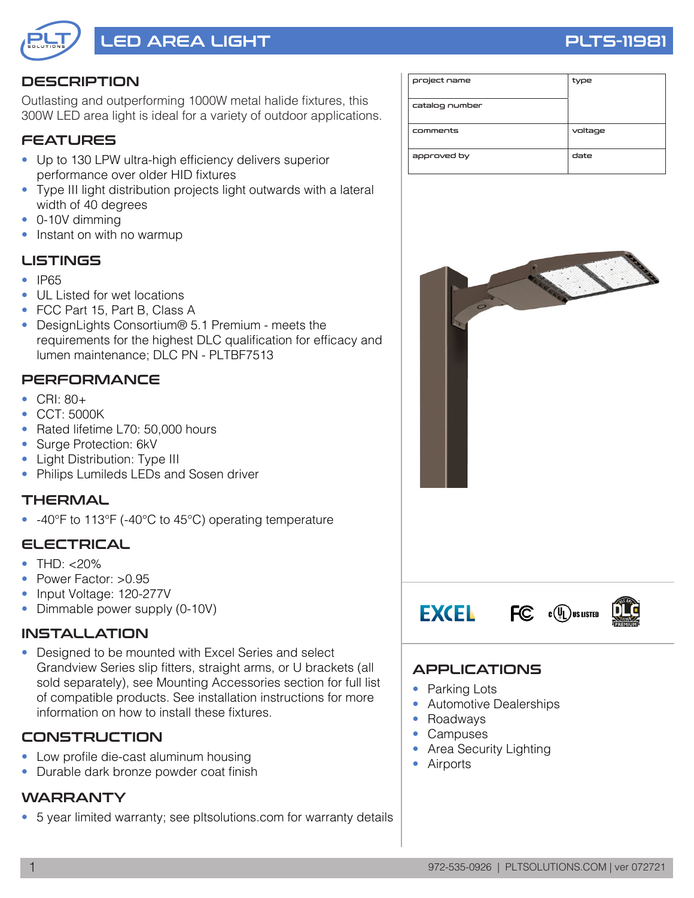

# LED AREA LIGHT PLTS-1198

### **DESCRIPTION**

Outlasting and outperforming 1000W metal halide fixtures, this 300W LED area light is ideal for a variety of outdoor applications.

### FEATURES

- Up to 130 LPW ultra-high efficiency delivers superior performance over older HID fixtures
- Type III light distribution projects light outwards with a lateral width of 40 degrees
- 0-10V dimming
- Instant on with no warmup

#### LISTINGS

- IP65
- UL Listed for wet locations
- FCC Part 15, Part B, Class A
- DesignLights Consortium® 5.1 Premium meets the requirements for the highest DLC qualification for efficacy and lumen maintenance; DLC PN - PLTBF7513

#### **PERFORMANCE**

- CRI: 80+
- CCT: 5000K
- Rated lifetime L70: 50,000 hours
- Surge Protection: 6kV
- Light Distribution: Type III
- Philips Lumileds LEDs and Sosen driver

#### THERMAL

• -40°F to 113°F (-40°C to 45°C) operating temperature

#### ELECTRICAL

- THD:  $< 20\%$
- Power Factor: >0.95
- Input Voltage: 120-277V
- Dimmable power supply (0-10V)

#### INSTALLATION

• Designed to be mounted with Excel Series and select Grandview Series slip fitters, straight arms, or U brackets (all sold separately), see Mounting Accessories section for full list of compatible products. See installation instructions for more information on how to install these fixtures.

#### **CONSTRUCTION**

- Low profile die-cast aluminum housing
- Durable dark bronze powder coat finish

#### **WARRANTY**

• 5 year limited warranty; see pltsolutions.com for warranty details

| project name   | type    |
|----------------|---------|
| catalog number |         |
| comments       | voltage |
| approved by    | date    |



## APPLICATIONS

- Parking Lots
- Automotive Dealerships
- Roadways
- Campuses
- Area Security Lighting
- Airports